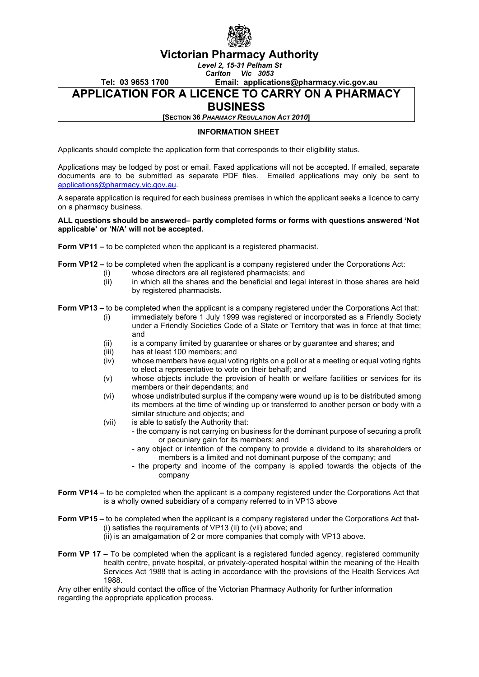

# **Victorian Pharmacy Authority**

*Level 2, 15-31 Pelham St Carlton Vic 3053*

### **Tel: 03 9653 1700 Email: applications@pharmacy.vic.gov.au APPLICATION FOR A LICENCE TO CARRY ON A PHARMACY**

# **BUSINESS**

**[SECTION 36** *PHARMACY REGULATION ACT 2010***]**

### **INFORMATION SHEET**

Applicants should complete the application form that corresponds to their eligibility status.

Applications may be lodged by post or email. Faxed applications will not be accepted. If emailed, separate documents are to be submitted as separate PDF files. Emailed applications may only be sent to [applications@pharmacy.vic.gov.au.](mailto:applications@pharmacy.vic.gov.au)

A separate application is required for each business premises in which the applicant seeks a licence to carry on a pharmacy business.

#### **ALL questions should be answered– partly completed forms or forms with questions answered 'Not applicable' or 'N/A' will not be accepted.**

- **Form VP11 –** to be completed when the applicant is a registered pharmacist.
- **Form VP12 –** to be completed when the applicant is a company registered under the Corporations Act:
	- (i) whose directors are all registered pharmacists; and (ii) in which all the shares and the beneficial and legal
	- in which all the shares and the beneficial and legal interest in those shares are held by registered pharmacists.

**Form VP13** – to be completed when the applicant is a company registered under the Corporations Act that:

- (i) immediately before 1 July 1999 was registered or incorporated as a Friendly Society under a Friendly Societies Code of a State or Territory that was in force at that time; and
- (ii) is a company limited by guarantee or shares or by guarantee and shares; and<br>(iii) has at least 100 members; and
- has at least 100 members; and
- (iv) whose members have equal voting rights on a poll or at a meeting or equal voting rights to elect a representative to vote on their behalf; and
- (v) whose objects include the provision of health or welfare facilities or services for its members or their dependants; and
- (vi) whose undistributed surplus if the company were wound up is to be distributed among its members at the time of winding up or transferred to another person or body with a similar structure and objects; and
- (vii) is able to satisfy the Authority that:

1988.

- the company is not carrying on business for the dominant purpose of securing a profit or pecuniary gain for its members; and
	- any object or intention of the company to provide a dividend to its shareholders or members is a limited and not dominant purpose of the company; and
	- the property and income of the company is applied towards the objects of the company
- **Form VP14 –** to be completed when the applicant is a company registered under the Corporations Act that is a wholly owned subsidiary of a company referred to in VP13 above
- **Form VP15 –** to be completed when the applicant is a company registered under the Corporations Act that-(i) satisfies the requirements of VP13 (ii) to (vii) above; and (ii) is an amalgamation of 2 or more companies that comply with VP13 above.
- **Form VP 17** To be completed when the applicant is a registered funded agency, registered community health centre, private hospital, or privately-operated hospital within the meaning of the Health Services Act 1988 that is acting in accordance with the provisions of the Health Services Act

Any other entity should contact the office of the Victorian Pharmacy Authority for further information regarding the appropriate application process.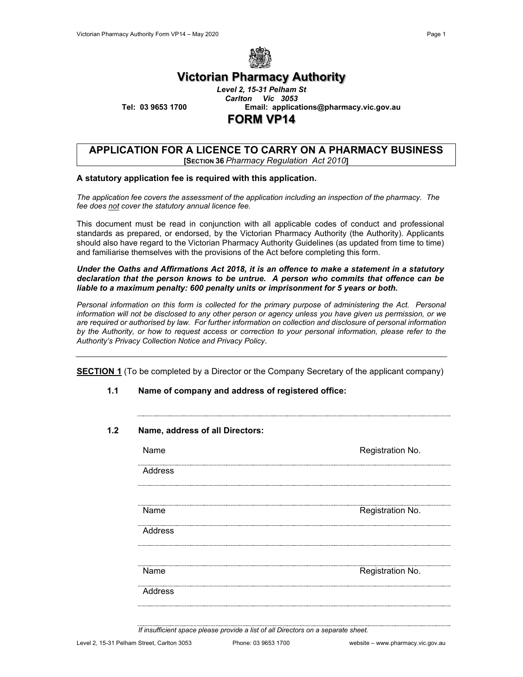

# **Victorian Pharmacy Authority**

*Level 2, 15-31 Pelham St Carlton Vic 3053* **Tel: 03 9653 1700 Email: applications@pharmacy.vic.gov.au FORM VP14**

### **APPLICATION FOR A LICENCE TO CARRY ON A PHARMACY BUSINESS [SECTION 36** *Pharmacy Regulation Act 2010***]**

### **A statutory application fee is required with this application.**

*The application fee covers the assessment of the application including an inspection of the pharmacy. The fee does not cover the statutory annual licence fee.*

This document must be read in conjunction with all applicable codes of conduct and professional standards as prepared, or endorsed, by the Victorian Pharmacy Authority (the Authority). Applicants should also have regard to the Victorian Pharmacy Authority Guidelines (as updated from time to time) and familiarise themselves with the provisions of the Act before completing this form.

*Under the Oaths and Affirmations Act 2018, it is an offence to make a statement in a statutory declaration that the person knows to be untrue. A person who commits that offence can be liable to a maximum penalty: 600 penalty units or imprisonment for 5 years or both.*

Personal information on this form is collected for the primary purpose of administering the Act. Personal *information will not be disclosed to any other person or agency unless you have given us permission, or we are required or authorised by law. For further information on collection and disclosure of personal information by the Authority, or how to request access or correction to your personal information, please refer to the Authority's Privacy Collection Notice and Privacy Policy*.

**SECTION 1** (To be completed by a Director or the Company Secretary of the applicant company)

- **1.1 Name of company and address of registered office:**
- **1.2 Name, address of all Directors:**

| Name    | Registration No.     |
|---------|----------------------|
| Address |                      |
|         |                      |
| Name    | Registration No.     |
| Address |                      |
| Name    | <br>Registration No. |
| Address |                      |

*If insufficient space please provide a list of all Directors on a separate sheet.*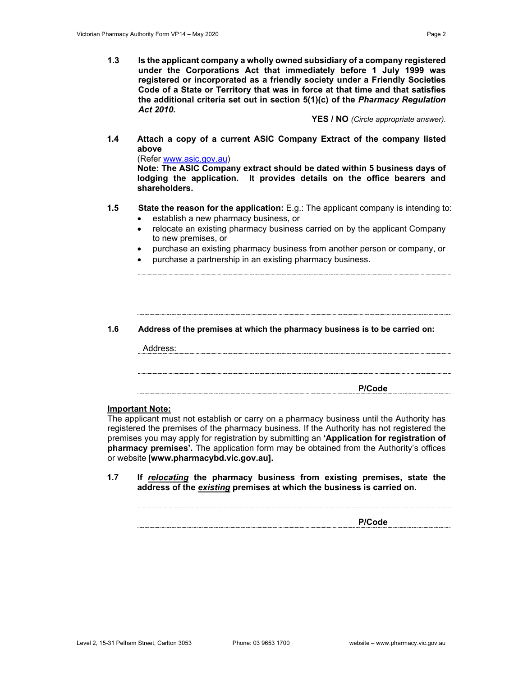**1.3 Is the applicant company a wholly owned subsidiary of a company registered under the Corporations Act that immediately before 1 July 1999 was registered or incorporated as a friendly society under a Friendly Societies Code of a State or Territory that was in force at that time and that satisfies the additional criteria set out in section 5(1)(c) of the** *Pharmacy Regulation Act 2010.*

**YES / NO** *(Circle appropriate answer).*

**1.4 Attach a copy of a current ASIC Company Extract of the company listed above**

(Refer [www.asic.gov.au\)](http://www.asic.gov.au/)

**Note: The ASIC Company extract should be dated within 5 business days of lodging the application. It provides details on the office bearers and shareholders.**

- **1.5 State the reason for the application:** E.g.: The applicant company is intending to:
	- establish a new pharmacy business, or
	- relocate an existing pharmacy business carried on by the applicant Company to new premises, or
	- purchase an existing pharmacy business from another person or company, or
	- purchase a partnership in an existing pharmacy business.
- **1.6 Address of the premises at which the pharmacy business is to be carried on:**

Address:

**P/Code**

#### **Important Note:**

The applicant must not establish or carry on a pharmacy business until the Authority has registered the premises of the pharmacy business. If the Authority has not registered the premises you may apply for registration by submitting an **'Application for registration of pharmacy premises'.** The application form may be obtained from the Authority's offices or website [**www.pharmacybd.vic.gov.au].**

**1.7 If** *relocating* **the pharmacy business from existing premises, state the address of the** *existing* **premises at which the business is carried on.**

**P/Code**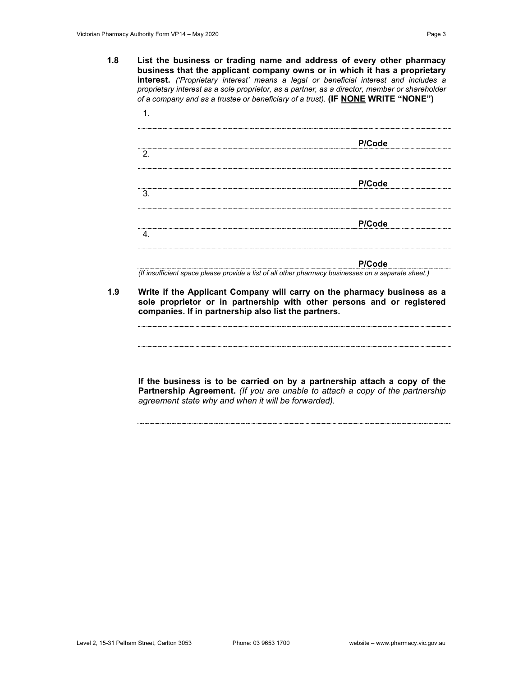**1.8 List the business or trading name and address of every other pharmacy business that the applicant company owns or in which it has a proprietary interest.** *('Proprietary interest' means a legal or beneficial interest and includes a proprietary interest as a sole proprietor, as a partner, as a director, member or shareholder of a company and as a trustee or beneficiary of a trust).* **(IF NONE WRITE "NONE")**

| 2. | P/Code |
|----|--------|
|    |        |
| 3  | P/Code |
|    | P/Code |
| 4  |        |

**P/Code**

*(If insufficient space please provide a list of all other pharmacy businesses on a separate sheet.)*

**1.9 Write if the Applicant Company will carry on the pharmacy business as a sole proprietor or in partnership with other persons and or registered companies. If in partnership also list the partners.**

**If the business is to be carried on by a partnership attach a copy of the Partnership Agreement.** *(If you are unable to attach a copy of the partnership agreement state why and when it will be forwarded).*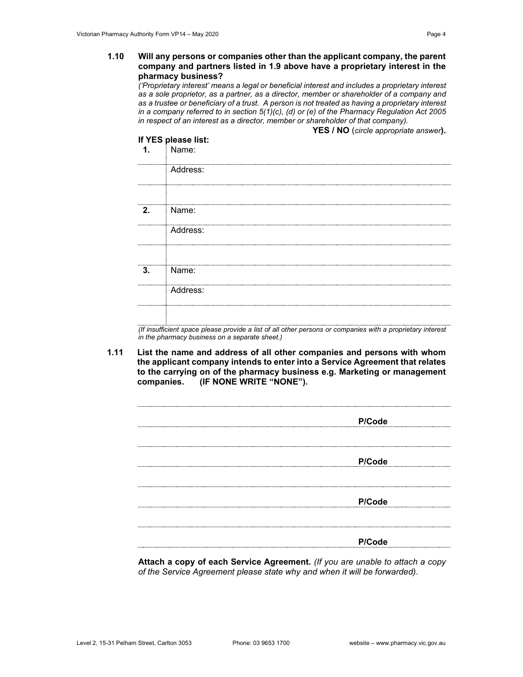#### **1.10 Will any persons or companies other than the applicant company, the parent company and partners listed in 1.9 above have a proprietary interest in the pharmacy business?**

*('Proprietary interest' means a legal or beneficial interest and includes a proprietary interest as a sole proprietor, as a partner, as a director, member or shareholder of a company and as a trustee or beneficiary of a trust. A person is not treated as having a proprietary interest in a company referred to in section 5(1)(c), (d) or (e) of the Pharmacy Regulation Act 2005 in respect of an interest as a director, member or shareholder of that company).*

|               |                                                | YES / NO (circle appropriate answer).                                                                      |
|---------------|------------------------------------------------|------------------------------------------------------------------------------------------------------------|
|               | If YES please list:                            |                                                                                                            |
| $\mathbf 1$ . | Name:                                          |                                                                                                            |
|               | Address:                                       |                                                                                                            |
| 2.            | Name:                                          |                                                                                                            |
|               | Address:                                       |                                                                                                            |
|               |                                                |                                                                                                            |
| 3.            | Name:                                          |                                                                                                            |
|               | Address:                                       |                                                                                                            |
|               |                                                | (If insufficient space please provide a list of all other persons or companies with a proprietary interest |
|               | in the pharmacy business on a separate sheet.) |                                                                                                            |

**1.11 List the name and address of all other companies and persons with whom the applicant company intends to enter into a Service Agreement that relates to the carrying on of the pharmacy business e.g. Marketing or management (IF NONE WRITE "NONE").** 

| P/Code |
|--------|
|        |
|        |
|        |
|        |
|        |
| P/Code |
|        |
|        |
|        |
|        |
| P/Code |
|        |
|        |
|        |
|        |
| P/Code |
|        |

**Attach a copy of each Service Agreement.** *(If you are unable to attach a copy of the Service Agreement please state why and when it will be forwarded).*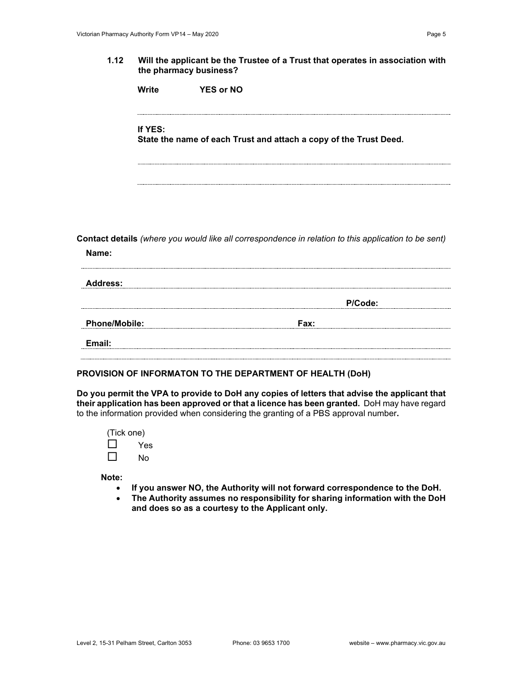|                      | <b>Write</b> | <b>YES or NO</b>                                                                                     |  |
|----------------------|--------------|------------------------------------------------------------------------------------------------------|--|
|                      | If YES:      | State the name of each Trust and attach a copy of the Trust Deed.                                    |  |
|                      |              |                                                                                                      |  |
| Name:                |              | Contact details (where you would like all correspondence in relation to this application to be sent) |  |
| <b>Address:</b>      |              |                                                                                                      |  |
|                      |              | P/Code:                                                                                              |  |
| <b>Phone/Mobile:</b> |              | Fax:                                                                                                 |  |
| Email:               |              |                                                                                                      |  |

### **PROVISION OF INFORMATON TO THE DEPARTMENT OF HEALTH (DoH)**

**Do you permit the VPA to provide to DoH any copies of letters that advise the applicant that their application has been approved or that a licence has been granted.** DoH may have regard to the information provided when considering the granting of a PBS approval number**.**

(Tick one)  $\Box$  Yes  $\square$  No

**Note:** 

- **If you answer NO, the Authority will not forward correspondence to the DoH.**
- **The Authority assumes no responsibility for sharing information with the DoH and does so as a courtesy to the Applicant only.**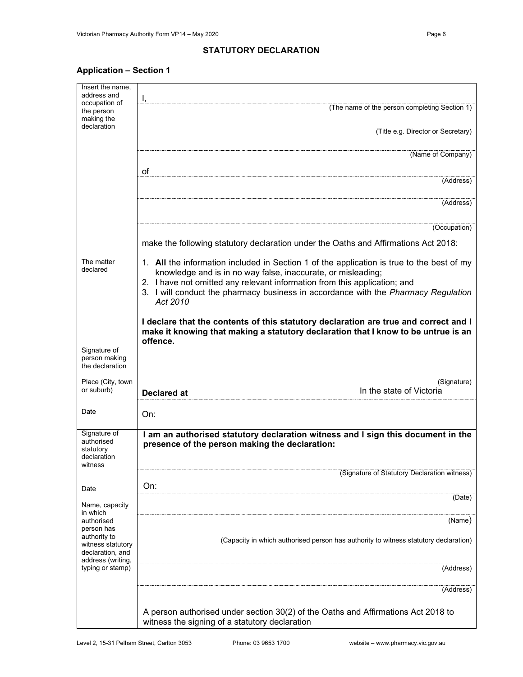# **Application – Section 1**

| Insert the name.<br>address and                                   | Ι,                                                                                                                                                                                     |
|-------------------------------------------------------------------|----------------------------------------------------------------------------------------------------------------------------------------------------------------------------------------|
| occupation of<br>the person<br>making the                         | (The name of the person completing Section 1)                                                                                                                                          |
| declaration                                                       | (Title e.g. Director or Secretary)                                                                                                                                                     |
|                                                                   | (Name of Company)                                                                                                                                                                      |
|                                                                   | of<br>(Address)                                                                                                                                                                        |
|                                                                   |                                                                                                                                                                                        |
|                                                                   | (Address)                                                                                                                                                                              |
|                                                                   | (Occupation)                                                                                                                                                                           |
|                                                                   | make the following statutory declaration under the Oaths and Affirmations Act 2018:                                                                                                    |
| The matter<br>declared                                            | 1. All the information included in Section 1 of the application is true to the best of my<br>knowledge and is in no way false, inaccurate, or misleading;                              |
|                                                                   | 2. I have not omitted any relevant information from this application; and                                                                                                              |
|                                                                   | 3. I will conduct the pharmacy business in accordance with the Pharmacy Regulation<br>Act 2010                                                                                         |
|                                                                   | I declare that the contents of this statutory declaration are true and correct and I<br>make it knowing that making a statutory declaration that I know to be untrue is an<br>offence. |
| Signature of                                                      |                                                                                                                                                                                        |
| person making<br>the declaration                                  |                                                                                                                                                                                        |
| Place (City, town<br>or suburb)                                   | (Signature)<br>In the state of Victoria<br><b>Declared at</b>                                                                                                                          |
| Date                                                              |                                                                                                                                                                                        |
|                                                                   | On:                                                                                                                                                                                    |
| Signature of<br>authorised<br>statutory<br>declaration<br>witness | I am an authorised statutory declaration witness and I sign this document in the<br>presence of the person making the declaration:                                                     |
|                                                                   | (Signature of Statutory Declaration witness)                                                                                                                                           |
| Date                                                              | On:<br>(Date)                                                                                                                                                                          |
| Name, capacity<br>in which                                        |                                                                                                                                                                                        |
| authorised<br>person has                                          | (Name)                                                                                                                                                                                 |
| authority to<br>witness statutory<br>declaration, and             | (Capacity in which authorised person has authority to witness statutory declaration)                                                                                                   |
| address (writing,<br>typing or stamp)                             | (Address)                                                                                                                                                                              |
|                                                                   | (Address)                                                                                                                                                                              |
|                                                                   | A person authorised under section 30(2) of the Oaths and Affirmations Act 2018 to<br>witness the signing of a statutory declaration                                                    |
|                                                                   |                                                                                                                                                                                        |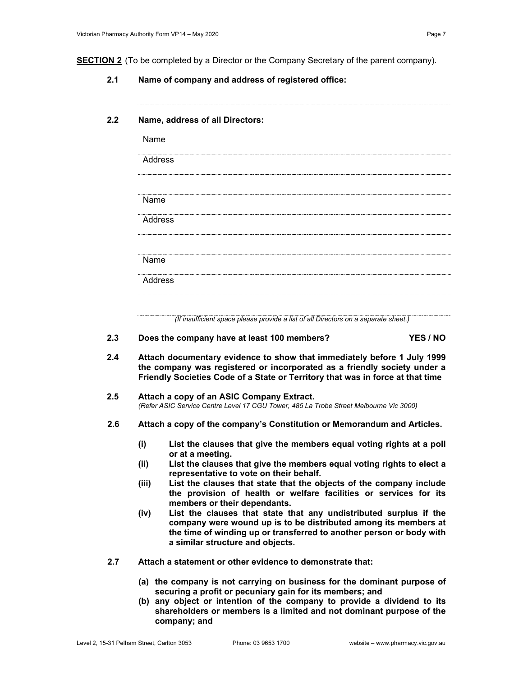**2.1 Name of company and address of registered office:**

## **2.2 Name, address of all Directors:**

| Name           |                                                                                                                                                                                                                                                                                  |          |
|----------------|----------------------------------------------------------------------------------------------------------------------------------------------------------------------------------------------------------------------------------------------------------------------------------|----------|
| Address        |                                                                                                                                                                                                                                                                                  |          |
|                |                                                                                                                                                                                                                                                                                  |          |
| Name           |                                                                                                                                                                                                                                                                                  |          |
| <b>Address</b> |                                                                                                                                                                                                                                                                                  |          |
| Name           |                                                                                                                                                                                                                                                                                  |          |
| <b>Address</b> |                                                                                                                                                                                                                                                                                  |          |
|                |                                                                                                                                                                                                                                                                                  |          |
|                | (If insufficient space please provide a list of all Directors on a separate sheet.)                                                                                                                                                                                              |          |
|                | Does the company have at least 100 members?                                                                                                                                                                                                                                      | YES / NO |
|                | Attach documentary evidence to show that immediately before 1 July 1999<br>the company was registered or incorporated as a friendly society under a<br>Friendly Societies Code of a State or Territory that was in force at that time                                            |          |
|                | Attach a copy of an ASIC Company Extract.<br>(Refer ASIC Service Centre Level 17 CGU Tower, 485 La Trobe Street Melbourne Vic 3000)                                                                                                                                              |          |
|                | Attach a copy of the company's Constitution or Memorandum and Articles.                                                                                                                                                                                                          |          |
| (i)            | List the clauses that give the members equal voting rights at a poll                                                                                                                                                                                                             |          |
| (ii)           | or at a meeting.<br>List the clauses that give the members equal voting rights to elect a<br>representative to vote on their behalf.                                                                                                                                             |          |
| (iii)          | List the clauses that state that the objects of the company include<br>the provision of health or welfare facilities or services for its                                                                                                                                         |          |
| (iv)           | members or their dependants.<br>List the clauses that state that any undistributed surplus if the<br>company were wound up is to be distributed among its members at<br>the time of winding up or transferred to another person or body with<br>a similar structure and objects. |          |
|                | Attach a statement or other evidence to demonstrate that:                                                                                                                                                                                                                        |          |
|                | (a) the company is not carrying on business for the dominant purpose of<br>securing a profit or pecuniary gain for its members; and<br>(b) any object or intention of the company to provide a dividend to its                                                                   |          |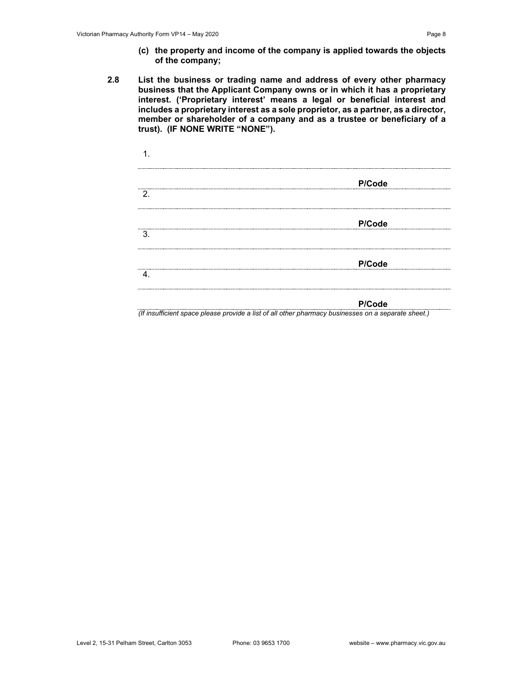- **(c) the property and income of the company is applied towards the objects of the company;**
- **2.8 List the business or trading name and address of every other pharmacy business that the Applicant Company owns or in which it has a proprietary interest. ('Proprietary interest' means a legal or beneficial interest and includes a proprietary interest as a sole proprietor, as a partner, as a director, member or shareholder of a company and as a trustee or beneficiary of a trust). (IF NONE WRITE "NONE").**

|                                      | P/Code |  |
|--------------------------------------|--------|--|
| 2.                                   |        |  |
| 3.                                   | P/Code |  |
|                                      |        |  |
| ------------------------------------ | P/Code |  |
|                                      |        |  |

#### **P/Code**

*(If insufficient space please provide a list of all other pharmacy businesses on a separate sheet.)*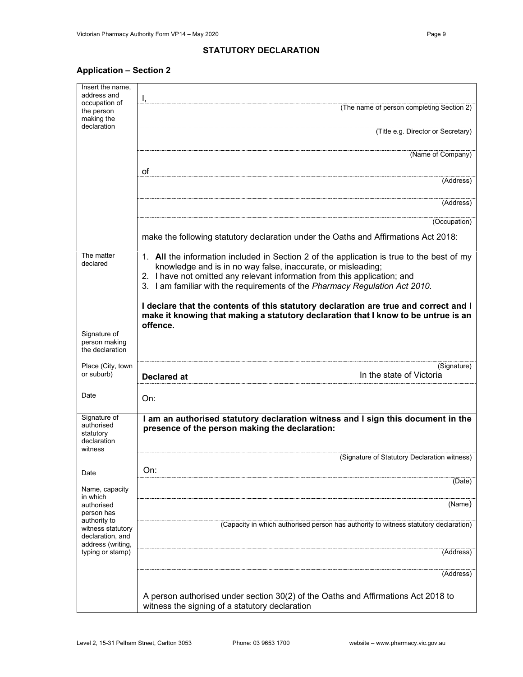# **Application – Section 2**

| Insert the name,<br>address and                                   | Ι,                                                                                                                                                                                                                                                                                                                    |
|-------------------------------------------------------------------|-----------------------------------------------------------------------------------------------------------------------------------------------------------------------------------------------------------------------------------------------------------------------------------------------------------------------|
| occupation of<br>the person<br>making the                         | (The name of person completing Section 2)                                                                                                                                                                                                                                                                             |
| declaration                                                       | (Title e.g. Director or Secretary)                                                                                                                                                                                                                                                                                    |
|                                                                   | (Name of Company)                                                                                                                                                                                                                                                                                                     |
|                                                                   | of<br>(Address)                                                                                                                                                                                                                                                                                                       |
|                                                                   |                                                                                                                                                                                                                                                                                                                       |
|                                                                   | (Address)                                                                                                                                                                                                                                                                                                             |
|                                                                   | (Occupation)                                                                                                                                                                                                                                                                                                          |
|                                                                   | make the following statutory declaration under the Oaths and Affirmations Act 2018:                                                                                                                                                                                                                                   |
| The matter<br>declared                                            | 1. All the information included in Section 2 of the application is true to the best of my<br>knowledge and is in no way false, inaccurate, or misleading;<br>2. I have not omitted any relevant information from this application; and<br>3. I am familiar with the requirements of the Pharmacy Regulation Act 2010. |
|                                                                   |                                                                                                                                                                                                                                                                                                                       |
|                                                                   | I declare that the contents of this statutory declaration are true and correct and I<br>make it knowing that making a statutory declaration that I know to be untrue is an<br>offence.                                                                                                                                |
| Signature of<br>person making<br>the declaration                  |                                                                                                                                                                                                                                                                                                                       |
| Place (City, town<br>or suburb)                                   | (Signature)<br>In the state of Victoria<br><b>Declared at</b>                                                                                                                                                                                                                                                         |
| Date                                                              | On:                                                                                                                                                                                                                                                                                                                   |
| Signature of<br>authorised<br>statutory<br>declaration<br>witness | I am an authorised statutory declaration witness and I sign this document in the<br>presence of the person making the declaration:                                                                                                                                                                                    |
|                                                                   | (Signature of Statutory Declaration witness)                                                                                                                                                                                                                                                                          |
| Date                                                              | On:<br>(Date)                                                                                                                                                                                                                                                                                                         |
| Name, capacity<br>in which<br>authorised                          | (Name)                                                                                                                                                                                                                                                                                                                |
| person has<br>authority to                                        | (Capacity in which authorised person has authority to witness statutory declaration)                                                                                                                                                                                                                                  |
| witness statutory<br>declaration, and<br>address (writing,        |                                                                                                                                                                                                                                                                                                                       |
| typing or stamp)                                                  | (Address)                                                                                                                                                                                                                                                                                                             |
|                                                                   | (Address)                                                                                                                                                                                                                                                                                                             |
|                                                                   | A person authorised under section 30(2) of the Oaths and Affirmations Act 2018 to<br>witness the signing of a statutory declaration                                                                                                                                                                                   |
|                                                                   |                                                                                                                                                                                                                                                                                                                       |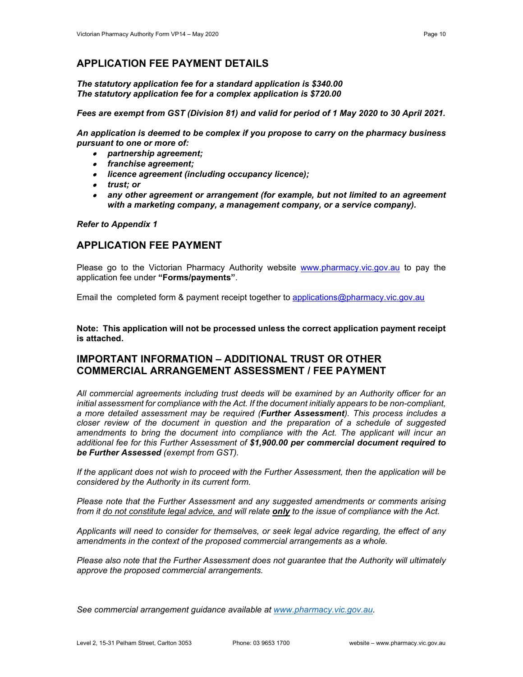*The statutory application fee for a standard application is \$340.00 The statutory application fee for a complex application is \$720.00*

*Fees are exempt from GST (Division 81) and valid for period of 1 May 2020 to 30 April 2021.*

*An application is deemed to be complex if you propose to carry on the pharmacy business pursuant to one or more of:* 

- *partnership agreement;*
- *franchise agreement;*
- *licence agreement (including occupancy licence);*
- *trust; or*
- *any other agreement or arrangement (for example, but not limited to an agreement with a marketing company, a management company, or a service company).*

### *Refer to Appendix 1*

# **APPLICATION FEE PAYMENT**

Please go to the Victorian Pharmacy Authority website [www.pharmacy.vic.gov.au](http://www.pharmacy.vic.gov.au/) to pay the application fee under **"Forms/payments"**.

Email the completed form & payment receipt together to [applications@pharmacy.vic.gov.au](mailto:applications@pharmacy.vic.gov.au)

**Note: This application will not be processed unless the correct application payment receipt is attached.**

# **IMPORTANT INFORMATION – ADDITIONAL TRUST OR OTHER COMMERCIAL ARRANGEMENT ASSESSMENT / FEE PAYMENT**

*All commercial agreements including trust deeds will be examined by an Authority officer for an initial assessment for compliance with the Act. If the document initially appears to be non-compliant, a more detailed assessment may be required (Further Assessment). This process includes a closer review of the document in question and the preparation of a schedule of suggested amendments to bring the document into compliance with the Act. The applicant will incur an additional fee for this Further Assessment of \$1,900.00 per commercial document required to be Further Assessed (exempt from GST).* 

*If the applicant does not wish to proceed with the Further Assessment, then the application will be considered by the Authority in its current form.*

*Please note that the Further Assessment and any suggested amendments or comments arising from it do not constitute legal advice, and will relate only to the issue of compliance with the Act.*

*Applicants will need to consider for themselves, or seek legal advice regarding, the effect of any amendments in the context of the proposed commercial arrangements as a whole.*

*Please also note that the Further Assessment does not guarantee that the Authority will ultimately approve the proposed commercial arrangements.* 

*See commercial arrangement guidance available at [www.pharmacy.vic.gov.au.](http://www.pharmacy.vic.gov.au/)*